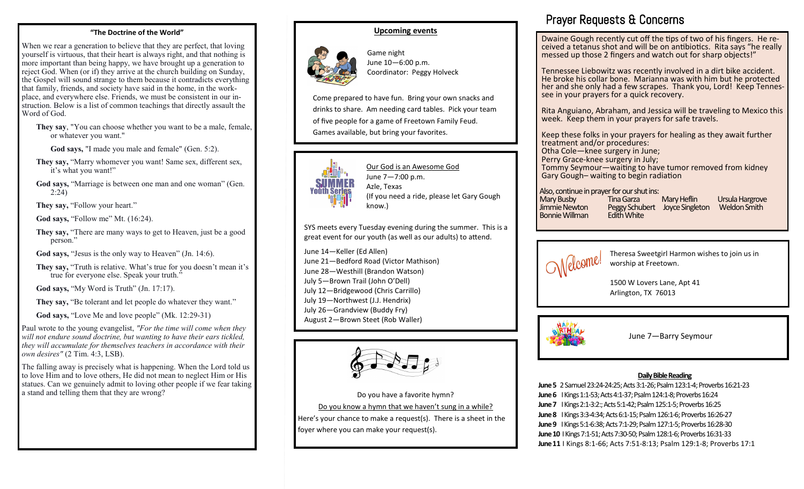#### **"The Doctrine of the World"**

When we rear a generation to believe that they are perfect, that loving yourself is virtuous, that their heart is always right, and that nothing is more important than being happy, we have brought up a generation to reject God. When (or if) they arrive at the church building on Sunday, the Gospel will sound strange to them because it contradicts everything that family, friends, and society have said in the home, in the workplace, and everywhere else. Friends, we must be consistent in our instruction. Below is a list of common teachings that directly assault the Word of God.

**They say**, "You can choose whether you want to be a male, female, or whatever you want."

**God says,** "I made you male and female" (Gen. 5:2).

- **They say,** "Marry whomever you want! Same sex, different sex, it's what you want!"
- **God says,** "Marriage is between one man and one woman" (Gen. 2:24)

They say, "Follow your heart."

**God says,** "Follow me" Mt. (16:24).

**They say,** "There are many ways to get to Heaven, just be a good person."

God says, "Jesus is the only way to Heaven" (Jn. 14:6).

**They say,** "Truth is relative. What's true for you doesn't mean it's true for everyone else. Speak your truth."

God says, "My Word is Truth" (Jn. 17:17).

**They say,** "Be tolerant and let people do whatever they want."

**God says,** "Love Me and love people" (Mk. 12:29-31)

Paul wrote to the young evangelist, *"For the time will come when they will not endure sound doctrine, but wanting to have their ears tickled, they will accumulate for themselves teachers in accordance with their own desires"* (2 Tim. 4:3, LSB).

The falling away is precisely what is happening. When the Lord told us to love Him and to love others, He did not mean to neglect Him or His statues. Can we genuinely admit to loving other people if we fear taking a stand and telling them that they are wrong?

#### **Upcoming events**



Game night June 10—6:00 p.m. Coordinator: Peggy Holveck

Come prepared to have fun. Bring your own snacks and drinks to share. Am needing card tables. Pick your team of five people for a game of Freetown Family Feud. Games available, but bring your favorites.



Our God is an Awesome God June 7—7:00 p.m. Azle, Texas (If you need a ride, please let Gary Gough know.)

SYS meets every Tuesday evening during the summer. This is a great event for our youth (as well as our adults) to attend.

June 14—Keller (Ed Allen) June 21—Bedford Road (Victor Mathison) June 28—Westhill (Brandon Watson) July 5—Brown Trail (John O'Dell) July 12—Bridgewood (Chris Carrillo) July 19—Northwest (J.J. Hendrix) July 26—Grandview (Buddy Fry) August 2—Brown Steet (Rob Waller)



Do you have a favorite hymn? Do you know a hymn that we haven't sung in a while? Here's your chance to make a request(s). There is a sheet in the foyer where you can make your request(s).

## Prayer Requests & Concerns

Dwaine Gough recently cut off the tips of two of his fingers. He received a tetanus shot and will be on antibiotics. Rita says "he really messed up those 2 fingers and watch out for sharp objects!"

Tennessee Liebowitz was recently involved in a dirt bike accident. He broke his collar bone. Marianna was with him but he protected her and she only had a few scrapes. Thank you, Lord! Keep Tennessee in your prayers for a quick recovery.

Rita Anguiano, Abraham, and Jessica will be traveling to Mexico this week. Keep them in your prayers for safe travels.

Keep these folks in your prayers for healing as they await further treatment and/or procedures: Otha Cole—knee surgery in June; Perry Grace-knee surgery in July; Tommy Seymour—waiting to have tumor removed from kidney Gary Gough– waiting to begin radiation

Also, continue in prayer for our shut ins:

Mary Busby Tina Garza Mary Heflin Ursula Hargrove Peggy Schubert Joyce Singleton<br>Fdith White Bonnie Willman



Theresa Sweetgirl Harmon wishes to join us in worship at Freetown.

1500 W Lovers Lane, Apt 41 Arlington, TX 76013



June 7—Barry Seymour

#### **Daily Bible Reading**

**June 5** 2 Samuel 23:24-24:25; Acts 3:1-26; Psalm 123:1-4; Proverbs 16:21-23 **June 6** I Kings 1:1-53; Acts 4:1-37; Psalm 124:1-8; Proverbs 16:24 **June 7** I Kings 2:1-3:2:; Acts 5:1-42; Psalm 125:1-5; Proverbs 16:25 **June 8** I Kings 3:3-4:34; Acts 6:1-15; Psalm 126:1-6; Proverbs 16:26-27 **June 9** I Kings 5:1-6:38; Acts 7:1-29; Psalm 127:1-5; Proverbs 16:28-30 **June 10** I Kings 7:1-51; Acts 7:30-50; Psalm 128:1-6; Proverbs 16:31-33 **June 11** I Kings 8:1-66; Acts 7:51-8:13; Psalm 129:1-8; Proverbs 17:1